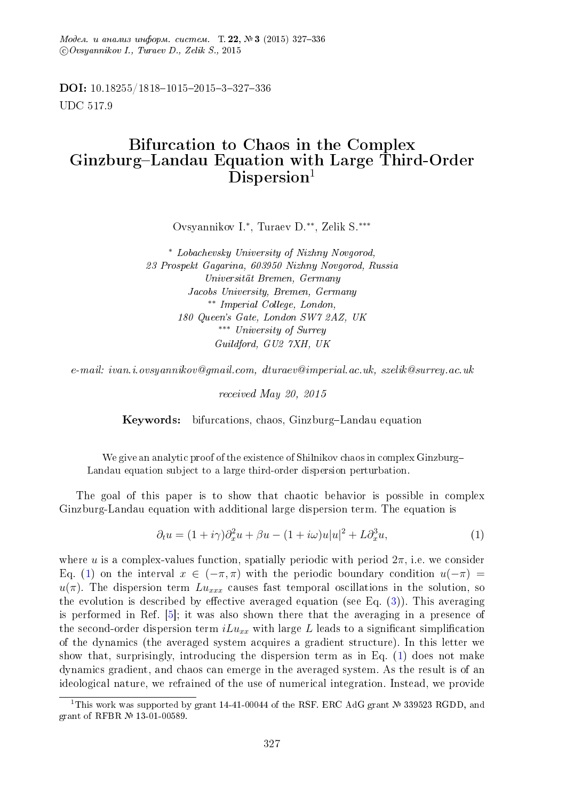$\textit{Mode}_\lambda$ ,  $\mu$  anaaus undopm, cucmem. T. 22,  $\mathbb{N}^2$ 3 (2015) 327-336 c Ovsyannikov I., Turaev D., Zelik S., 2015

DOI: 10.18255/1818-1015-2015-3-327-336 UDC 517.9

## Bifurcation to Chaos in the Complex Ginzburg-Landau Equation with Large Third-Order  $Disperson<sup>1</sup>$

Ovsyannikov I.<sup>∗</sup> , Turaev D.∗∗, Zelik S.∗∗∗

<sup>∗</sup> Lobachevsky University of Nizhny Novgorod, 23 Prospekt Gagarina, 603950 Nizhny Novgorod, Russia Universitat Bremen, Germany Jacobs University, Bremen, Germany ∗∗ Imperial College, London, 180 Queen's Gate, London SW7 2AZ, UK ∗∗∗ University of Surrey Guildford, GU2 7XH, UK

e-mail: ivan.i.ovsyannikov@gmail.com, dturaev@imperial.ac.uk, szelik@surrey.ac.uk

received May 20, 2015

Keywords: bifurcations, chaos, Ginzburg-Landau equation

We give an analytic proof of the existence of Shilnikov chaos in complex Ginzburg Landau equation subject to a large third-order dispersion perturbation.

The goal of this paper is to show that chaotic behavior is possible in complex Ginzburg-Landau equation with additional large dispersion term. The equation is

<span id="page-0-0"></span>
$$
\partial_t u = (1 + i\gamma)\partial_x^2 u + \beta u - (1 + i\omega)u|u|^2 + L\partial_x^3 u,\tag{1}
$$

where u is a complex-values function, spatially periodic with period  $2\pi$ , i.e. we consider Eq. [\(1\)](#page-0-0) on the interval  $x \in (-\pi, \pi)$  with the periodic boundary condition  $u(-\pi)$  =  $u(\pi)$ . The dispersion term  $Lu_{xxx}$  causes fast temporal oscillations in the solution, so the evolution is described by effective averaged equation (see Eq.  $(3)$ ). This averaging is performed in Ref. [\[5\]](#page-8-0); it was also shown there that the averaging in a presence of the second-order dispersion term  $iLu_{xx}$  with large L leads to a significant simplification of the dynamics (the averaged system acquires a gradient structure). In this letter we show that, surprisingly, introducing the dispersion term as in Eq. [\(1\)](#page-0-0) does not make dynamics gradient, and chaos can emerge in the averaged system. As the result is of an ideological nature, we refrained of the use of numerical integration. Instead, we provide

<sup>&</sup>lt;sup>1</sup>This work was supported by grant 14-41-00044 of the RSF. ERC AdG grant  $\mathbb{N}$  339523 RGDD, and grant of RFBR  $N<sup>2</sup>$  13-01-00589.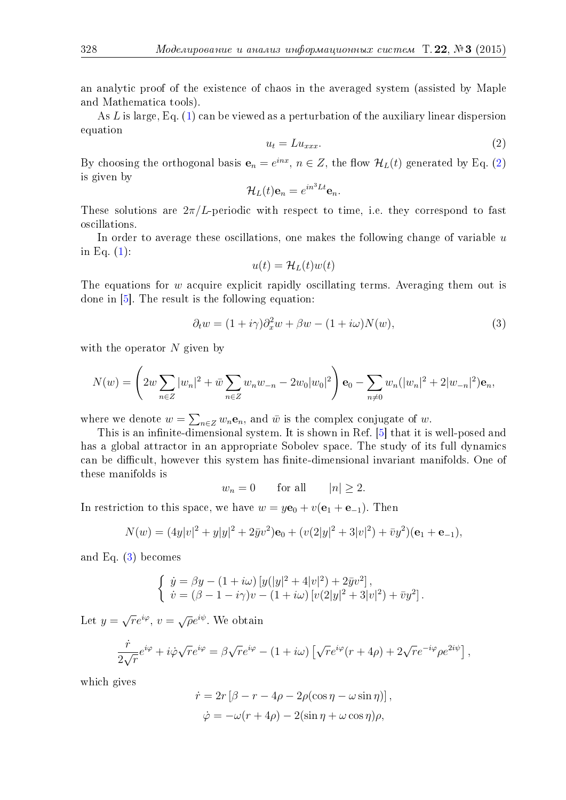an analytic proof of the existence of chaos in the averaged system (assisted by Maple and Mathematica tools).

As L is large, Eq. [\(1\)](#page-0-0) can be viewed as a perturbation of the auxiliary linear dispersion equation

<span id="page-1-1"></span>
$$
u_t = Lu_{xxx}.\tag{2}
$$

By choosing the orthogonal basis  $e_n = e^{inx}$ ,  $n \in Z$ , the flow  $\mathcal{H}_L(t)$  generated by Eq. [\(2\)](#page-1-1) is given by

$$
\mathcal{H}_L(t)\mathbf{e}_n = e^{in^3Lt}\mathbf{e}_n.
$$

These solutions are  $2\pi/L$ -periodic with respect to time, i.e. they correspond to fast oscillations.

In order to average these oscillations, one makes the following change of variable  $u$ in Eq. [\(1\)](#page-0-0):

$$
u(t) = \mathcal{H}_L(t)w(t)
$$

The equations for w acquire explicit rapidly oscillating terms. Averaging them out is done in [\[5\]](#page-8-0). The result is the following equation:

<span id="page-1-0"></span>
$$
\partial_t w = (1 + i\gamma)\partial_x^2 w + \beta w - (1 + i\omega)N(w),\tag{3}
$$

with the operator  $N$  given by

$$
N(w) = \left(2w \sum_{n \in \mathbb{Z}} |w_n|^2 + \bar{w} \sum_{n \in \mathbb{Z}} w_n w_{-n} - 2w_0 |w_0|^2\right) \mathbf{e}_0 - \sum_{n \neq 0} w_n (|w_n|^2 + 2|w_{-n}|^2) \mathbf{e}_n,
$$

where we denote  $w = \sum_{n \in \mathbb{Z}} w_n \mathbf{e}_n$ , and  $\bar{w}$  is the complex conjugate of  $w$ .

This is an infinite-dimensional system. It is shown in Ref. [\[5\]](#page-8-0) that it is well-posed and has a global attractor in an appropriate Sobolev space. The study of its full dynamics can be difficult, however this system has finite-dimensional invariant manifolds. One of these manifolds is

$$
w_n = 0 \qquad \text{for all} \qquad |n| \ge 2.
$$

In restriction to this space, we have  $w = y\mathbf{e}_0 + v(\mathbf{e}_1 + \mathbf{e}_{-1})$ . Then

$$
N(w) = (4y|v|^2 + y|y|^2 + 2\bar{y}v^2)\mathbf{e}_0 + (v(2|y|^2 + 3|v|^2) + \bar{v}y^2)(\mathbf{e}_1 + \mathbf{e}_{-1}),
$$

and Eq. [\(3\)](#page-1-0) becomes

$$
\begin{cases} \n\dot{y} = \beta y - (1 + i\omega) \left[ y(|y|^2 + 4|v|^2) + 2\bar{y}v^2 \right], \\
\dot{v} = (\beta - 1 - i\gamma)v - (1 + i\omega) \left[ v(2|y|^2 + 3|v|^2) + \bar{v}y^2 \right]. \n\end{cases}
$$

Let  $y =$  $\sqrt{r}e^{i\varphi}$ ,  $v = \sqrt{\rho}e^{i\psi}$ . We obtain

$$
\frac{\dot{r}}{2\sqrt{r}}e^{i\varphi} + i\dot{\varphi}\sqrt{r}e^{i\varphi} = \beta\sqrt{r}e^{i\varphi} - (1 + i\omega)\left[\sqrt{r}e^{i\varphi}(r + 4\rho) + 2\sqrt{r}e^{-i\varphi}\rho e^{2i\psi}\right],
$$

which gives

$$
\dot{r} = 2r [\beta - r - 4\rho - 2\rho(\cos \eta - \omega \sin \eta)],
$$
  

$$
\dot{\varphi} = -\omega(r + 4\rho) - 2(\sin \eta + \omega \cos \eta)\rho,
$$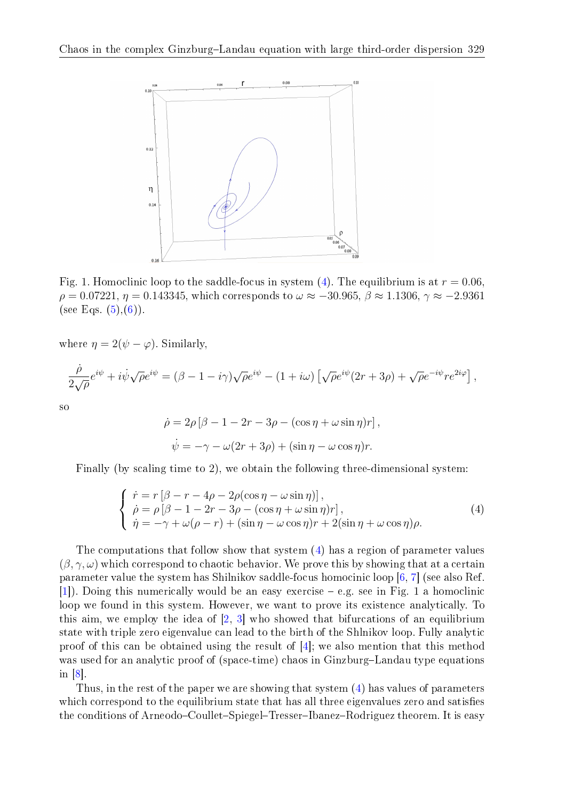

Fig. 1. Homoclinic loop to the saddle-focus in system [\(4\)](#page-2-0). The equilibrium is at  $r = 0.06$  $\rho = 0.07221$ ,  $\eta = 0.143345$ , which corresponds to  $\omega \approx -30.965$ ,  $\beta \approx 1.1306$ ,  $\gamma \approx -2.9361$ (see Eqs.  $(5),(6)$  $(5),(6)$  $(5),(6)$ ).

where  $\eta = 2(\psi - \varphi)$ . Similarly,

$$
\frac{\dot{\rho}}{2\sqrt{\rho}}e^{i\psi} + i\dot{\psi}\sqrt{\rho}e^{i\psi} = (\beta - 1 - i\gamma)\sqrt{\rho}e^{i\psi} - (1 + i\omega)\left[\sqrt{\rho}e^{i\psi}(2r + 3\rho) + \sqrt{\rho}e^{-i\psi}re^{2i\varphi}\right],
$$

so

$$
\dot{\rho} = 2\rho \left[ \beta - 1 - 2r - 3\rho - (\cos \eta + \omega \sin \eta) r \right],
$$
  

$$
\dot{\psi} = -\gamma - \omega(2r + 3\rho) + (\sin \eta - \omega \cos \eta) r.
$$

Finally (by scaling time to 2), we obtain the following three-dimensional system:

<span id="page-2-0"></span>
$$
\begin{cases}\n\dot{r} = r \left[ \beta - r - 4\rho - 2\rho(\cos \eta - \omega \sin \eta) \right], \\
\dot{\rho} = \rho \left[ \beta - 1 - 2r - 3\rho - (\cos \eta + \omega \sin \eta)r \right], \\
\dot{\eta} = -\gamma + \omega(\rho - r) + (\sin \eta - \omega \cos \eta)r + 2(\sin \eta + \omega \cos \eta)\rho.\n\end{cases} (4)
$$

The computations that follow show that system [\(4\)](#page-2-0) has a region of parameter values  $(\beta, \gamma, \omega)$  which correspond to chaotic behavior. We prove this by showing that at a certain parameter value the system has Shilnikov saddle-focus homocinic loop [\[6,](#page-8-1) [7\]](#page-8-2) (see also Ref.  $[1]$ . Doing this numerically would be an easy exercise  $-e.g.$  see in Fig. 1 a homoclinic loop we found in this system. However, we want to prove its existence analytically. To this aim, we employ the idea of  $[2, 3]$  $[2, 3]$  $[2, 3]$  who showed that bifurcations of an equilibrium state with triple zero eigenvalue can lead to the birth of the Shlnikov loop. Fully analytic proof of this can be obtained using the result of [\[4\]](#page-8-6); we also mention that this method was used for an analytic proof of (space-time) chaos in Ginzburg-Landau type equations in [\[8\]](#page-8-7).

Thus, in the rest of the paper we are showing that system [\(4\)](#page-2-0) has values of parameters which correspond to the equilibrium state that has all three eigenvalues zero and satisfies the conditions of Arneodo–Coullet–Spiegel–Tresser–Ibanez–Rodriguez theorem. It is easy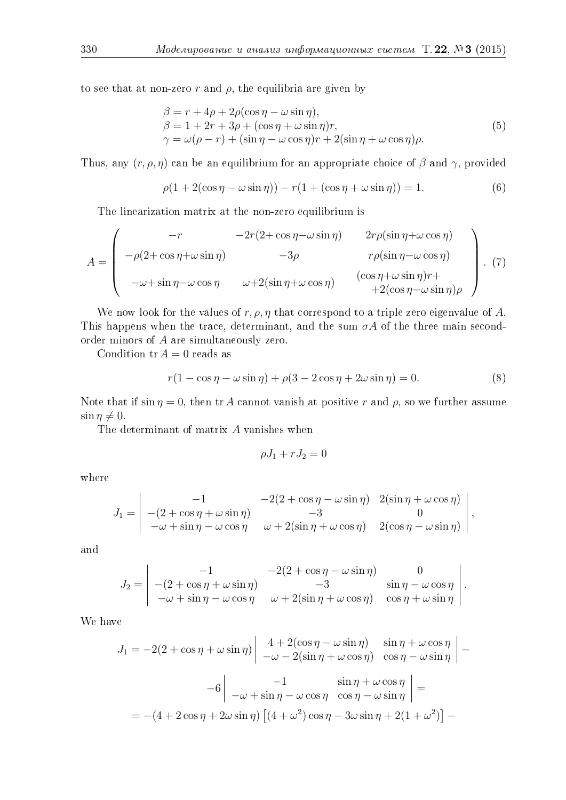to see that at non-zero r and  $\rho$ , the equilibria are given by

<span id="page-3-0"></span>
$$
\beta = r + 4\rho + 2\rho(\cos \eta - \omega \sin \eta),\n\beta = 1 + 2r + 3\rho + (\cos \eta + \omega \sin \eta)r,\n\gamma = \omega(\rho - r) + (\sin \eta - \omega \cos \eta)r + 2(\sin \eta + \omega \cos \eta)\rho.
$$
\n(5)

Thus, any  $(r, \rho, \eta)$  can be an equilibrium for an appropriate choice of  $\beta$  and  $\gamma$ , provided

<span id="page-3-1"></span>
$$
\rho(1 + 2(\cos \eta - \omega \sin \eta)) - r(1 + (\cos \eta + \omega \sin \eta)) = 1.
$$
\n(6)

The linearization matrix at the non-zero equilibrium is

<span id="page-3-3"></span>
$$
A = \begin{pmatrix} -r & -2r(2 + \cos \eta - \omega \sin \eta) & 2r\rho(\sin \eta + \omega \cos \eta) \\ -\rho(2 + \cos \eta + \omega \sin \eta) & -3\rho & r\rho(\sin \eta - \omega \cos \eta) \\ -\omega + \sin \eta - \omega \cos \eta & \omega + 2(\sin \eta + \omega \cos \eta) & (\cos \eta + \omega \sin \eta)r + \\ +2(\cos \eta - \omega \sin \eta)\rho \end{pmatrix} . (7)
$$

We now look for the values of  $r, \rho, \eta$  that correspond to a triple zero eigenvalue of A. This happens when the trace, determinant, and the sum  $\sigma A$  of the three main secondorder minors of A are simultaneously zero.

Condition  $tr A = 0$  reads as

<span id="page-3-2"></span>
$$
r(1 - \cos \eta - \omega \sin \eta) + \rho(3 - 2\cos \eta + 2\omega \sin \eta) = 0.
$$
 (8)

,

Note that if  $\sin \eta = 0$ , then tr A cannot vanish at positive r and  $\rho$ , so we further assume  $\sin \eta \neq 0.$ 

The determinant of matrix A vanishes when

$$
\rho J_1 + r J_2 = 0
$$

where

$$
J_1 = \begin{vmatrix} -1 & -2(2 + \cos \eta - \omega \sin \eta) & 2(\sin \eta + \omega \cos \eta) \\ -(2 + \cos \eta + \omega \sin \eta) & -3 & 0 \\ -\omega + \sin \eta - \omega \cos \eta & \omega + 2(\sin \eta + \omega \cos \eta) & 2(\cos \eta - \omega \sin \eta) \end{vmatrix}
$$

and

$$
J_2 = \begin{vmatrix} -1 & -2(2 + \cos \eta - \omega \sin \eta) & 0 \\ -(2 + \cos \eta + \omega \sin \eta) & -3 & \sin \eta - \omega \cos \eta \\ -\omega + \sin \eta - \omega \cos \eta & \omega + 2(\sin \eta + \omega \cos \eta) & \cos \eta + \omega \sin \eta \end{vmatrix}.
$$

We have

$$
J_1 = -2(2 + \cos \eta + \omega \sin \eta) \begin{vmatrix} 4 + 2(\cos \eta - \omega \sin \eta) & \sin \eta + \omega \cos \eta \\ -\omega - 2(\sin \eta + \omega \cos \eta) & \cos \eta - \omega \sin \eta \end{vmatrix} - 6 \begin{vmatrix} -1 & \sin \eta + \omega \cos \eta \\ -\omega + \sin \eta - \omega \cos \eta & \cos \eta - \omega \sin \eta \end{vmatrix} =
$$
  
= - (4 + 2 cos \eta + 2\omega sin \eta) [(4 + \omega^2) cos \eta - 3\omega sin \eta + 2(1 + \omega^2)] -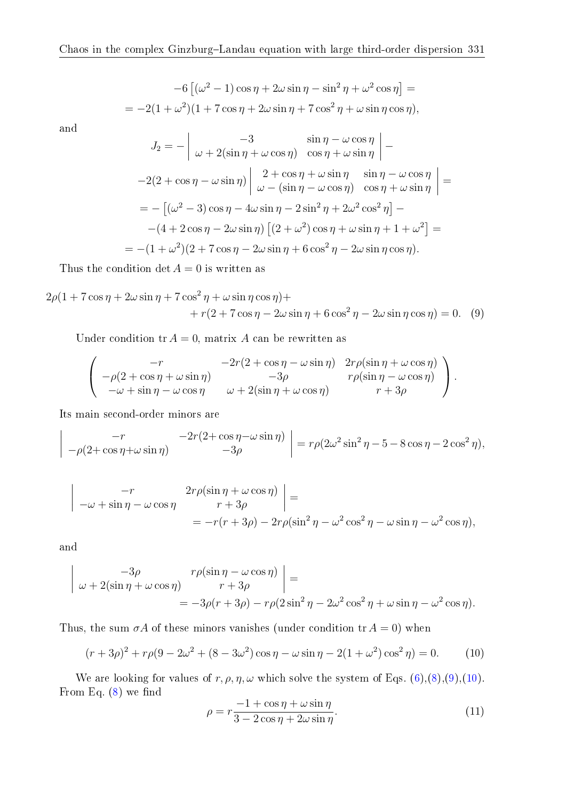$$
-6\left[ (\omega^2 - 1)\cos \eta + 2\omega \sin \eta - \sin^2 \eta + \omega^2 \cos \eta \right] =
$$
  
= 
$$
-2(1 + \omega^2)(1 + 7\cos \eta + 2\omega \sin \eta + 7\cos^2 \eta + \omega \sin \eta \cos \eta),
$$

and

<span id="page-4-0"></span>
$$
J_2 = -\left[\begin{array}{cc} -3 & \sin \eta - \omega \cos \eta \\ \omega + 2(\sin \eta + \omega \cos \eta) & \cos \eta + \omega \sin \eta \end{array}\right] -
$$
  

$$
-2(2 + \cos \eta - \omega \sin \eta) \left[\begin{array}{cc} 2 + \cos \eta + \omega \sin \eta & \sin \eta - \omega \cos \eta \\ \omega - (\sin \eta - \omega \cos \eta) & \cos \eta + \omega \sin \eta \end{array}\right] =
$$
  

$$
= -\left[ (\omega^2 - 3) \cos \eta - 4\omega \sin \eta - 2 \sin^2 \eta + 2\omega^2 \cos^2 \eta \right] -
$$
  

$$
- (4 + 2 \cos \eta - 2\omega \sin \eta) \left[ (2 + \omega^2) \cos \eta + \omega \sin \eta + 1 + \omega^2 \right] =
$$
  

$$
= -(1 + \omega^2)(2 + 7 \cos \eta - 2\omega \sin \eta + 6 \cos^2 \eta - 2\omega \sin \eta \cos \eta).
$$

Thus the condition det  $A = 0$  is written as

$$
2\rho(1 + 7\cos\eta + 2\omega\sin\eta + 7\cos^2\eta + \omega\sin\eta\cos\eta) +
$$
  
+ 
$$
r(2 + 7\cos\eta - 2\omega\sin\eta + 6\cos^2\eta - 2\omega\sin\eta\cos\eta) = 0.
$$
 (9)

Under condition  $tr A = 0$ , matrix A can be rewritten as

$$
\begin{pmatrix}\n-r & -2r(2 + \cos \eta - \omega \sin \eta) & 2r\rho(\sin \eta + \omega \cos \eta) \\
-\rho(2 + \cos \eta + \omega \sin \eta) & -3\rho & r\rho(\sin \eta - \omega \cos \eta) \\
-\omega + \sin \eta - \omega \cos \eta & \omega + 2(\sin \eta + \omega \cos \eta) & r + 3\rho\n\end{pmatrix}.
$$

Its main second-order minors are

$$
\begin{vmatrix} -r & -2r(2+\cos\eta-\omega\sin\eta) \\ -\rho(2+\cos\eta+\omega\sin\eta) & -3\rho \end{vmatrix} = r\rho(2\omega^2\sin^2\eta-5-8\cos\eta-2\cos^2\eta),
$$

$$
\begin{vmatrix}\n-r & 2r\rho(\sin \eta + \omega \cos \eta) \\
r + 3\rho\n\end{vmatrix} =
$$
\n
$$
-\omega + \sin \eta - \omega \cos \eta \qquad r + 3\rho
$$
\n
$$
= -r(r + 3\rho) - 2r\rho(\sin^2 \eta - \omega^2 \cos^2 \eta - \omega \sin \eta - \omega^2 \cos \eta),
$$

and

 $\overline{\phantom{a}}$  $\overline{\phantom{a}}$ I  $\mid$ 

$$
\begin{vmatrix} -3\rho & r\rho(\sin \eta - \omega \cos \eta) \\ \omega + 2(\sin \eta + \omega \cos \eta) & r + 3\rho \end{vmatrix} =
$$
  
=  $-3\rho(r + 3\rho) - r\rho(2\sin^2 \eta - 2\omega^2 \cos^2 \eta + \omega \sin \eta - \omega^2 \cos \eta).$ 

Thus, the sum  $\sigma A$  of these minors vanishes (under condition tr  $A = 0$ ) when

<span id="page-4-1"></span>
$$
(r+3\rho)^2 + r\rho(9 - 2\omega^2 + (8 - 3\omega^2)\cos\eta - \omega\sin\eta - 2(1 + \omega^2)\cos^2\eta) = 0.
$$
 (10)

We are looking for values of  $r, \rho, \eta, \omega$  which solve the system of Eqs. [\(6\)](#page-3-1),[\(8\)](#page-3-2),[\(9\)](#page-4-0),[\(10\)](#page-4-1). From Eq.  $(8)$  we find

<span id="page-4-2"></span>
$$
\rho = r \frac{-1 + \cos \eta + \omega \sin \eta}{3 - 2 \cos \eta + 2\omega \sin \eta}.
$$
\n(11)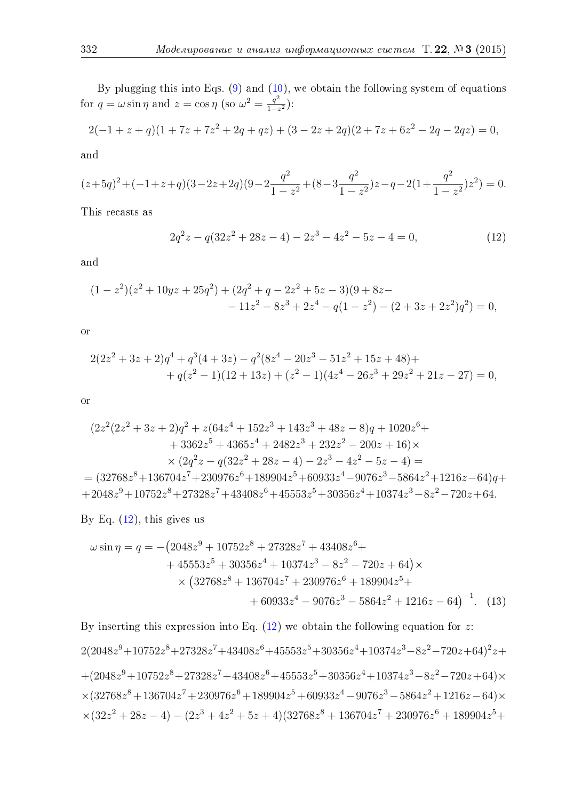By plugging this into Eqs.  $(9)$  and  $(10)$ , we obtain the following system of equations for  $q = \omega \sin \eta$  and  $z = \cos \eta$  (so  $\omega^2 = \frac{q^2}{1-z^2}$  $\frac{q^2}{1-z^2}$ :

$$
2(-1 + z + q)(1 + 7z + 7z2 + 2q + qz) + (3 - 2z + 2q)(2 + 7z + 6z2 - 2q - 2qz) = 0,
$$

and

$$
(z+5q)^2 + (-1+z+q)(3-2z+2q)(9-2\frac{q^2}{1-z^2} + (8-3\frac{q^2}{1-z^2})z - q - 2(1+\frac{q^2}{1-z^2})z^2) = 0.
$$

This recasts as

<span id="page-5-0"></span>
$$
2q^2z - q(32z^2 + 28z - 4) - 2z^3 - 4z^2 - 5z - 4 = 0,
$$
\n(12)

and

$$
(1 - z2)(z2 + 10yz + 25q2) + (2q2 + q - 2z2 + 5z - 3)(9 + 8z - 11z2 - 8z3 + 2z4 - q(1 - z2) - (2 + 3z + 2z2)q2) = 0,
$$

or

$$
2(2z2 + 3z + 2)q4 + q3(4 + 3z) – q2(8z4 – 20z3 – 51z2 + 15z + 48) ++ q(z2 – 1)(12 + 13z) + (z2 – 1)(4z4 – 26z3 + 29z2 + 21z – 27) = 0,
$$

or

$$
(2z2(2z2 + 3z + 2)q2 + z(64z4 + 152z3 + 143z3 + 48z - 8)q + 1020z6 ++ 3362z5 + 4365z4 + 2482z3 + 232z2 - 200z + 16) \times \times (2q2z - q(32z2 + 28z - 4) - 2z3 - 4z2 - 5z - 4) == (32768z8 + 136704z7 + 230976z6 + 189904z5 + 60933z4 - 9076z3 - 5864z2 + 1216z - 64)q ++ 2048z9 + 10752z8 + 27328z7 + 43408z6 + 45553z5 + 30356z4 + 10374z3 - 8z2 - 720z + 64.
$$

By Eq.  $(12)$ , this gives us

<span id="page-5-1"></span>
$$
\omega \sin \eta = q = -\left(2048z^9 + 10752z^8 + 27328z^7 + 43408z^6 ++ 45553z^5 + 30356z^4 + 10374z^3 - 8z^2 - 720z + 64\right) \times \times \left(32768z^8 + 136704z^7 + 230976z^6 + 189904z^5 ++ 60933z^4 - 9076z^3 - 5864z^2 + 1216z - 64\right)^{-1}.
$$
 (13)

By inserting this expression into Eq.  $(12)$  we obtain the following equation for z:  $2(2048z^9+10752z^8+27328z^7+43408z^6+45553z^5+30356z^4+10374z^3-8z^2-720z+64)^2z+$  $+(2048z<sup>9</sup>+10752z<sup>8</sup>+27328z<sup>7</sup>+43408z<sup>6</sup>+45553z<sup>5</sup>+30356z<sup>4</sup>+10374z<sup>3</sup>-8z<sup>2</sup>-720z+64)\times$  $\times(32768z^8+136704z^7+230976z^6+189904z^5+60933z^4-9076z^3-5864z^2+1216z-64)\times$  $\times(32z^2+28z-4)-(2z^3+4z^2+5z+4)(32768z^8+136704z^7+230976z^6+189904z^5+$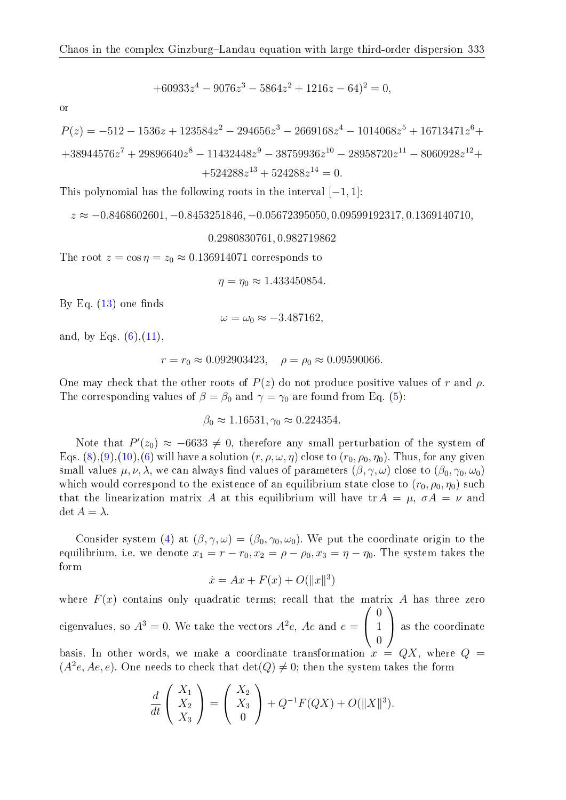$$
+60933z^4 - 9076z^3 - 5864z^2 + 1216z - 64)^2 = 0,
$$

or

$$
P(z) = -512 - 1536z + 123584z2 - 294656z3 - 2669168z4 - 1014068z5 + 16713471z6 ++38944576z7 + 29896640z8 - 11432448z9 - 38759936z10 - 28958720z11 - 8060928z12 ++524288z13 + 524288z14 = 0.
$$

This polynomial has the following roots in the interval  $[-1, 1]$ :

$$
z \approx -0.8468602601, -0.8453251846, -0.05672395050, 0.09599192317, 0.1369140710,
$$

0.2980830761, 0.982719862

The root  $z = \cos \eta = z_0 \approx 0.136914071$  corresponds to

 $\eta = \eta_0 \approx 1.433450854.$ 

By Eq.  $(13)$  one finds

$$
\omega = \omega_0 \approx -3.487162,
$$

and, by Eqs.  $(6)$ ,  $(11)$ ,

$$
r = r_0 \approx 0.092903423
$$
,  $\rho = \rho_0 \approx 0.09590066$ .

One may check that the other roots of  $P(z)$  do not produce positive values of r and  $\rho$ . The corresponding values of  $\beta = \beta_0$  and  $\gamma = \gamma_0$  are found from Eq. [\(5\)](#page-3-0):

$$
\beta_0 \approx 1.16531, \gamma_0 \approx 0.224354.
$$

Note that  $P'(z_0) \approx -6633 \neq 0$ , therefore any small perturbation of the system of Eqs.  $(8), (9), (10), (6)$  $(8), (9), (10), (6)$  $(8), (9), (10), (6)$  $(8), (9), (10), (6)$  $(8), (9), (10), (6)$  $(8), (9), (10), (6)$  $(8), (9), (10), (6)$  will have a solution  $(r, \rho, \omega, \eta)$  close to  $(r_0, \rho_0, \eta_0)$ . Thus, for any given small values  $\mu, \nu, \lambda$ , we can always find values of parameters  $(\beta, \gamma, \omega)$  close to  $(\beta_0, \gamma_0, \omega_0)$ which would correspond to the existence of an equilibrium state close to  $(r_0, \rho_0, \eta_0)$  such that the linearization matrix A at this equilibrium will have tr  $A = \mu$ ,  $\sigma A = \nu$  and  $\det A = \lambda$ .

Consider system [\(4\)](#page-2-0) at  $(\beta, \gamma, \omega) = (\beta_0, \gamma_0, \omega_0)$ . We put the coordinate origin to the equilibrium, i.e. we denote  $x_1 = r - r_0$ ,  $x_2 = \rho - \rho_0$ ,  $x_3 = \eta - \eta_0$ . The system takes the form

$$
\dot{x} = Ax + F(x) + O(||x||^3)
$$

where  $F(x)$  contains only quadratic terms; recall that the matrix A has three zero eigenvalues, so  $A^3=0.$  We take the vectors  $A^2e,$   $Ae$  and  $e=$  $\sqrt{ }$  $\overline{1}$ 0 1 0  $\setminus$  as the coordinate basis. In other words, we make a coordinate transformation  $x = QX$ , where  $Q =$  $(A<sup>2</sup>e, Ae, e)$ . One needs to check that  $\det(Q) \neq 0$ ; then the system takes the form

$$
\frac{d}{dt}\begin{pmatrix} X_1\\ X_2\\ X_3 \end{pmatrix} = \begin{pmatrix} X_2\\ X_3\\ 0 \end{pmatrix} + Q^{-1}F(QX) + O(\|X\|^3).
$$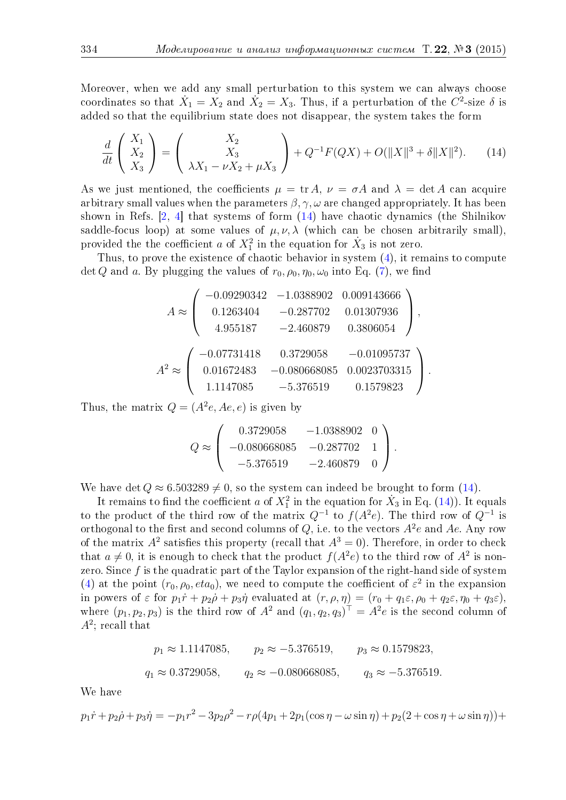Moreover, when we add any small perturbation to this system we can always choose coordinates so that  $\dot{X}_1 = X_2$  and  $\dot{X}_2 = X_3$ . Thus, if a perturbation of the  $C^2$ -size  $\delta$  is added so that the equilibrium state does not disappear, the system takes the form

<span id="page-7-0"></span>
$$
\frac{d}{dt}\begin{pmatrix} X_1 \\ X_2 \\ X_3 \end{pmatrix} = \begin{pmatrix} X_2 \\ X_3 \\ \lambda X_1 - \nu X_2 + \mu X_3 \end{pmatrix} + Q^{-1}F(QX) + O(\|X\|^3 + \delta \|X\|^2). \tag{14}
$$

As we just mentioned, the coefficients  $\mu = \text{tr }A, \nu = \sigma A$  and  $\lambda = \det A$  can acquire arbitrary small values when the parameters  $\beta$ ,  $\gamma$ ,  $\omega$  are changed appropriately. It has been shown in Refs. [\[2,](#page-8-4) [4\]](#page-8-6) that systems of form [\(14\)](#page-7-0) have chaotic dynamics (the Shilnikov saddle-focus loop) at some values of  $\mu, \nu, \lambda$  (which can be chosen arbitrarily small). provided the the coefficient a of  $X_1^2$  in the equation for  $\dot{X}_3$  is not zero.

Thus, to prove the existence of chaotic behavior in system [\(4\)](#page-2-0), it remains to compute det Q and a. By plugging the values of  $r_0, \rho_0, \eta_0, \omega_0$  into Eq. [\(7\)](#page-3-3), we find

$$
A \approx \begin{pmatrix} -0.09290342 & -1.0388902 & 0.009143666 \\ 0.1263404 & -0.287702 & 0.01307936 \\ 4.955187 & -2.460879 & 0.3806054 \end{pmatrix},
$$
  

$$
A^{2} \approx \begin{pmatrix} -0.07731418 & 0.3729058 & -0.01095737 \\ 0.01672483 & -0.080668085 & 0.0023703315 \\ 1.1147085 & -5.376519 & 0.1579823 \end{pmatrix}.
$$

Thus, the matrix  $Q = (A^2e, Ae, e)$  is given by

$$
Q \approx \begin{pmatrix} 0.3729058 & -1.0388902 & 0 \\ -0.080668085 & -0.287702 & 1 \\ -5.376519 & -2.460879 & 0 \end{pmatrix}.
$$

We have det  $Q \approx 6.503289 \neq 0$ , so the system can indeed be brought to form [\(14\)](#page-7-0).

It remains to find the coefficient  $a$  of  $X_1^2$  in the equation for  $\dot{X}_3$  in Eq. [\(14\)](#page-7-0)). It equals to the product of the third row of the matrix  $Q^{-1}$  to  $f(A^2e)$ . The third row of  $Q^{-1}$  is orthogonal to the first and second columns of  $Q$ , i.e. to the vectors  $A^2e$  and  $Ae$ . Any row of the matrix  $A^2$  satisfies this property (recall that  $A^3 = 0$ ). Therefore, in order to check that  $a \neq 0$ , it is enough to check that the product  $f(A^2e)$  to the third row of  $A^2$  is nonzero. Since  $f$  is the quadratic part of the Taylor expansion of the right-hand side of system [\(4\)](#page-2-0) at the point  $(r_0, \rho_0, eta_0)$ , we need to compute the coefficient of  $\varepsilon^2$  in the expansion in powers of  $\varepsilon$  for  $p_1\dot{r}+p_2\dot{\rho}+p_3\dot{\eta}$  evaluated at  $(r, \rho, \eta)=(r_0+q_1\varepsilon, \rho_0+q_2\varepsilon, \eta_0+q_3\varepsilon)$ . where  $(p_1, p_2, p_3)$  is the third row of  $A^2$  and  $(q_1, q_2, q_3)^T = A^2 e$  is the second column of  $A^2$ ; recall that

$$
p_1 \approx 1.1147085
$$
,  $p_2 \approx -5.376519$ ,  $p_3 \approx 0.1579823$ ,  
\n $q_1 \approx 0.3729058$ ,  $q_2 \approx -0.080668085$ ,  $q_3 \approx -5.376519$ .

We have

$$
p_1\dot{r} + p_2\dot{\rho} + p_3\dot{\eta} = -p_1r^2 - 3p_2\rho^2 - r\rho(4p_1 + 2p_1(\cos\eta - \omega\sin\eta) + p_2(2 + \cos\eta + \omega\sin\eta)) +
$$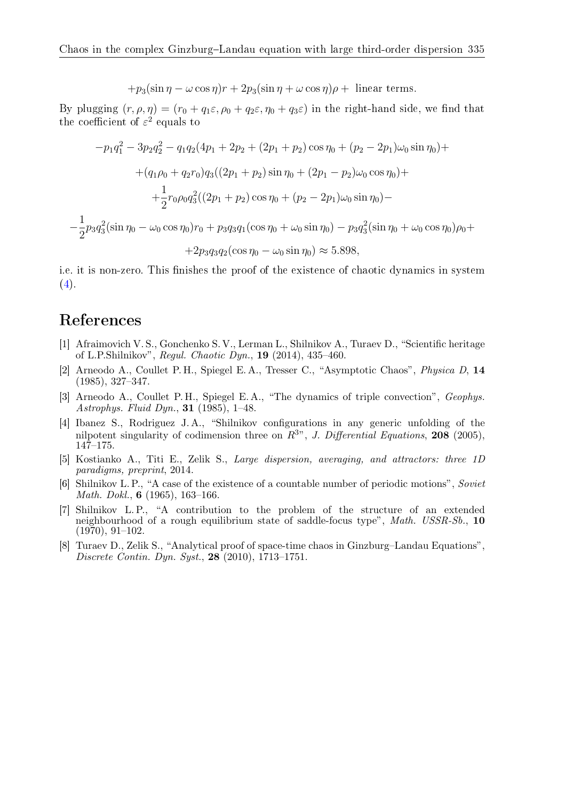$$
+p_3(\sin \eta - \omega \cos \eta)r + 2p_3(\sin \eta + \omega \cos \eta)\rho + \text{ linear terms.}
$$

By plugging  $(r, \rho, \eta) = (r_0 + q_1 \varepsilon, \rho_0 + q_2 \varepsilon, \eta_0 + q_3 \varepsilon)$  in the right-hand side, we find that the coefficient of  $\varepsilon^2$  equals to

$$
-p_1q_1^2 - 3p_2q_2^2 - q_1q_2(4p_1 + 2p_2 + (2p_1 + p_2)\cos\eta_0 + (p_2 - 2p_1)\omega_0\sin\eta_0) +
$$
  
+ 
$$
(q_1\rho_0 + q_2r_0)q_3((2p_1 + p_2)\sin\eta_0 + (2p_1 - p_2)\omega_0\cos\eta_0) +
$$
  
+ 
$$
\frac{1}{2}r_0\rho_0q_3^2((2p_1 + p_2)\cos\eta_0 + (p_2 - 2p_1)\omega_0\sin\eta_0) -
$$
  
- 
$$
\frac{1}{2}p_3q_3^2(\sin\eta_0 - \omega_0\cos\eta_0)r_0 + p_3q_3q_1(\cos\eta_0 + \omega_0\sin\eta_0) - p_3q_3^2(\sin\eta_0 + \omega_0\cos\eta_0)\rho_0 +
$$
  
+ 
$$
2p_3q_3q_2(\cos\eta_0 - \omega_0\sin\eta_0) \approx 5.898,
$$

i.e. it is non-zero. This finishes the proof of the existence of chaotic dynamics in system  $(4).$  $(4).$ 

## References

- <span id="page-8-3"></span>[1] Afraimovich V. S., Gonchenko S. V., Lerman L., Shilnikov A., Turaev D., "Scientific heritage of L.P.Shilnikov", Regul. Chaotic Dyn., 19 (2014), 435–460.
- <span id="page-8-4"></span>[2] Arneodo A., Coullet P. H., Spiegel E. A., Tresser C., "Asymptotic Chaos", Physica D, 14 (1985), 327–347.
- <span id="page-8-5"></span>[3] Arneodo A., Coullet P. H., Spiegel E. A., "The dynamics of triple convection", Geophys. Astrophys. Fluid Dyn., 31 (1985), 1–48.
- <span id="page-8-6"></span>[4] Ibanez S., Rodriguez J. A., "Shilnikov configurations in any generic unfolding of the nilpotent singularity of codimension three on  $R^{3}$ ", J. Differential Equations, 208 (2005),  $147 - 175$ .
- <span id="page-8-0"></span>[5] Kostianko A., Titi E., Zelik S., Large dispersion, averaging, and attractors: three 1D paradigms, preprint, 2014.
- <span id="page-8-1"></span>[6] Shilnikov L. P., "A case of the existence of a countable number of periodic motions", Soviet Math. Dokl., 6 (1965), 163–166.
- <span id="page-8-2"></span>[7] Shilnikov L. P., "A contribution to the problem of the structure of an extended neighbourhood of a rough equilibrium state of saddle-focus type", Math. USSR-Sb., 10 (1970), 91–102.
- <span id="page-8-7"></span>[8] Turaev D., Zelik S., "Analytical proof of space-time chaos in Ginzburg–Landau Equations", Discrete Contin. Dyn. Syst., 28 (2010), 1713–1751.